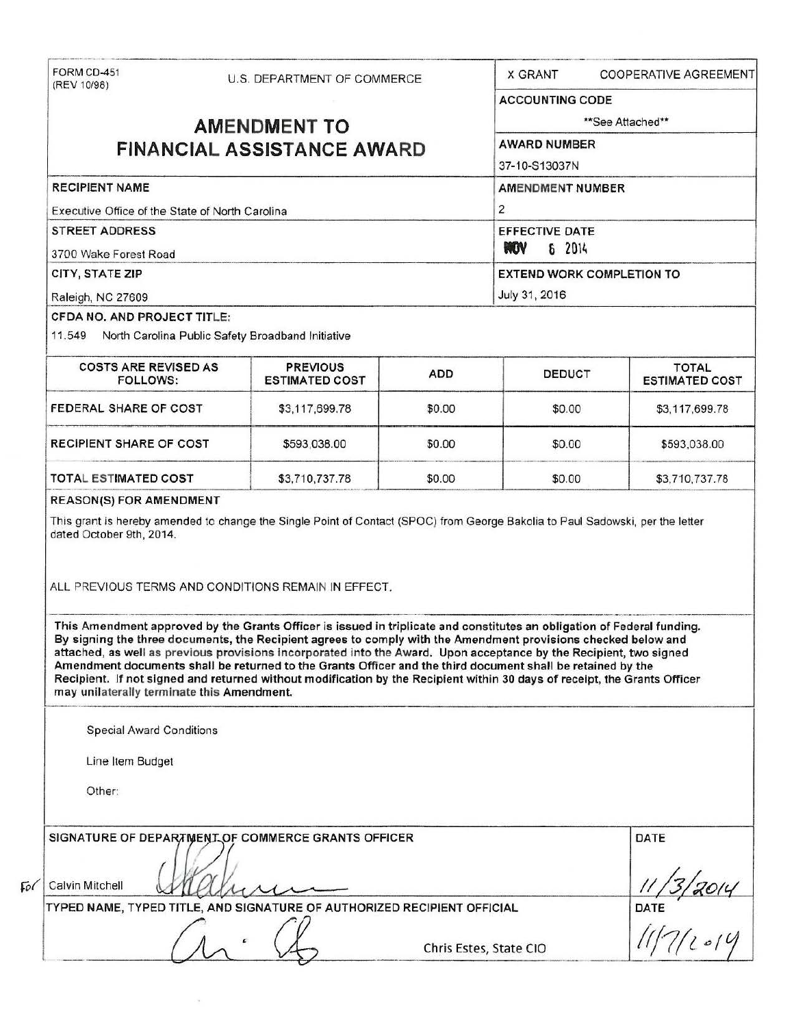|                                                                                           | FORM CD-451<br>U.S. DEPARTMENT OF COMMERCE<br>(REV 10/98) |                                                                                                                                                                                                                                                                                                                                                                                                                                                                                                                                                                                                             |                | X GRANT<br><b>COOPERATIVE AGREEMENT</b>       |                                             |  |
|-------------------------------------------------------------------------------------------|-----------------------------------------------------------|-------------------------------------------------------------------------------------------------------------------------------------------------------------------------------------------------------------------------------------------------------------------------------------------------------------------------------------------------------------------------------------------------------------------------------------------------------------------------------------------------------------------------------------------------------------------------------------------------------------|----------------|-----------------------------------------------|---------------------------------------------|--|
|                                                                                           |                                                           |                                                                                                                                                                                                                                                                                                                                                                                                                                                                                                                                                                                                             |                | <b>ACCOUNTING CODE</b>                        |                                             |  |
| <b>AMENDMENT TO</b>                                                                       |                                                           |                                                                                                                                                                                                                                                                                                                                                                                                                                                                                                                                                                                                             |                | **See Attached**                              |                                             |  |
| <b>FINANCIAL ASSISTANCE AWARD</b>                                                         |                                                           |                                                                                                                                                                                                                                                                                                                                                                                                                                                                                                                                                                                                             |                | <b>AWARD NUMBER</b>                           |                                             |  |
|                                                                                           |                                                           |                                                                                                                                                                                                                                                                                                                                                                                                                                                                                                                                                                                                             |                | 37-10-S13037N                                 |                                             |  |
| <b>RECIPIENT NAME</b>                                                                     |                                                           |                                                                                                                                                                                                                                                                                                                                                                                                                                                                                                                                                                                                             |                | <b>AMENDMENT NUMBER</b>                       |                                             |  |
| Executive Office of the State of North Carolina                                           |                                                           |                                                                                                                                                                                                                                                                                                                                                                                                                                                                                                                                                                                                             | $\overline{2}$ |                                               |                                             |  |
| <b>STREET ADDRESS</b><br>3700 Wake Forest Road                                            |                                                           |                                                                                                                                                                                                                                                                                                                                                                                                                                                                                                                                                                                                             |                | <b>EFFECTIVE DATE</b><br><b>NOV</b><br>6 2014 |                                             |  |
|                                                                                           |                                                           |                                                                                                                                                                                                                                                                                                                                                                                                                                                                                                                                                                                                             |                |                                               |                                             |  |
| Raleigh, NC 27609                                                                         |                                                           |                                                                                                                                                                                                                                                                                                                                                                                                                                                                                                                                                                                                             |                | July 31, 2016                                 |                                             |  |
| CFDA NO. AND PROJECT TITLE:                                                               |                                                           |                                                                                                                                                                                                                                                                                                                                                                                                                                                                                                                                                                                                             |                |                                               |                                             |  |
| 11.549 North Carolina Public Safety Broadband Initiative                                  |                                                           |                                                                                                                                                                                                                                                                                                                                                                                                                                                                                                                                                                                                             |                |                                               |                                             |  |
| <b>COSTS ARE REVISED AS</b><br><b>FOLLOWS:</b>                                            |                                                           | <b>PREVIOUS</b><br><b>ESTIMATED COST</b>                                                                                                                                                                                                                                                                                                                                                                                                                                                                                                                                                                    | ADD            | <b>DEDUCT</b>                                 | <b>TOTAL</b><br><b>ESTIMATED COST</b>       |  |
| <b>FEDERAL SHARE OF COST</b>                                                              |                                                           | \$3,117,699.78                                                                                                                                                                                                                                                                                                                                                                                                                                                                                                                                                                                              | \$0.00         | \$0.00                                        | \$3,117,699.78                              |  |
| RECIPIENT SHARE OF COST                                                                   |                                                           | \$593,038.00                                                                                                                                                                                                                                                                                                                                                                                                                                                                                                                                                                                                | \$0.00         | \$0.00                                        | \$593,038.00                                |  |
|                                                                                           |                                                           |                                                                                                                                                                                                                                                                                                                                                                                                                                                                                                                                                                                                             |                |                                               |                                             |  |
|                                                                                           |                                                           | \$3,710,737.78<br>This grant is hereby amended to change the Single Point of Contact (SPOC) from George Bakolia to Paul Sadowski, per the letter                                                                                                                                                                                                                                                                                                                                                                                                                                                            | \$0.00         | \$0.00                                        | \$3,710,737.78                              |  |
| <b>TOTAL ESTIMATED COST</b><br><b>REASON(S) FOR AMENDMENT</b><br>dated October 9th, 2014. |                                                           | ALL PREVIOUS TERMS AND CONDITIONS REMAIN IN EFFECT.                                                                                                                                                                                                                                                                                                                                                                                                                                                                                                                                                         |                |                                               |                                             |  |
| may unilaterally terminate this Amendment.                                                |                                                           | This Amendment approved by the Grants Officer is issued in triplicate and constitutes an obligation of Federal funding.<br>By signing the three documents, the Recipient agrees to comply with the Amendment provisions checked below and<br>attached, as well as previous provisions incorporated into the Award. Upon acceptance by the Recipient, two signed<br>Amendment documents shall be returned to the Grants Officer and the third document shall be retained by the<br>Recipient. If not signed and returned without modification by the Recipient within 30 days of receipt, the Grants Officer |                |                                               |                                             |  |
| <b>Special Award Conditions</b>                                                           |                                                           |                                                                                                                                                                                                                                                                                                                                                                                                                                                                                                                                                                                                             |                |                                               |                                             |  |
| Line Item Budget                                                                          |                                                           |                                                                                                                                                                                                                                                                                                                                                                                                                                                                                                                                                                                                             |                |                                               |                                             |  |
| Other:                                                                                    |                                                           |                                                                                                                                                                                                                                                                                                                                                                                                                                                                                                                                                                                                             |                |                                               |                                             |  |
|                                                                                           |                                                           | SIGNATURE OF DEPARTMENT OF COMMERCE GRANTS OFFICER                                                                                                                                                                                                                                                                                                                                                                                                                                                                                                                                                          |                |                                               | DATE                                        |  |
| Calvin Mitchell                                                                           |                                                           |                                                                                                                                                                                                                                                                                                                                                                                                                                                                                                                                                                                                             |                |                                               |                                             |  |
|                                                                                           |                                                           | TYPED NAME, TYPED TITLE, AND SIGNATURE OF AUTHORIZED RECIPIENT OFFICIAL                                                                                                                                                                                                                                                                                                                                                                                                                                                                                                                                     |                |                                               | $\frac{11}{32014}$<br>DATE<br>$\frac{1}{3}$ |  |